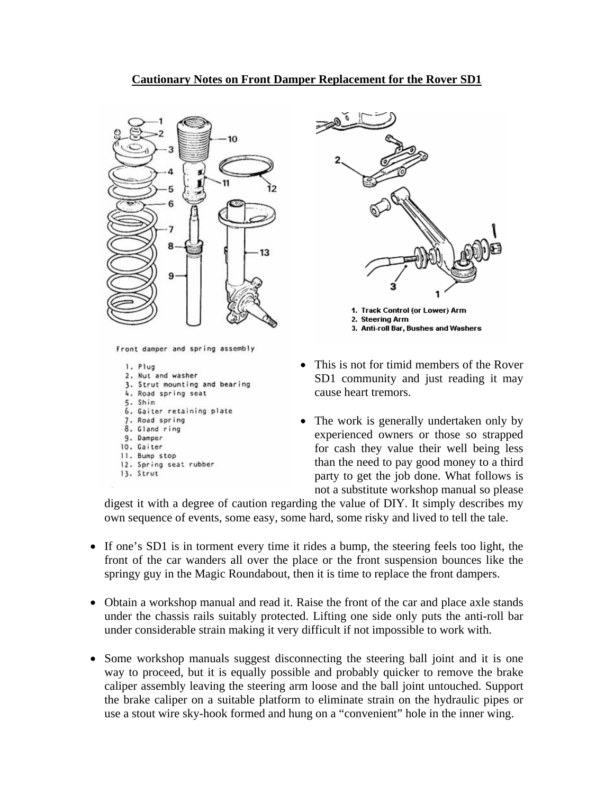## **Cautionary Notes on Front Damper Replacement for the Rover SD1**



Front damper and spring assembly

1. Plug 2. Nut and washer 3. Strut mounting and bearing 4. Road spring seat 5. Shim 6. Gaiter retaining plate 7. Road spring 8. Gland ring 9. Damper 10. Gaiter 11. Bump stop 12. Spring seat rubber 13. Strut



- This is not for timid members of the Rover SD1 community and just reading it may cause heart tremors.
- The work is generally undertaken only by experienced owners or those so strapped for cash they value their well being less than the need to pay good money to a third party to get the job done. What follows is not a substitute workshop manual so please

digest it with a degree of caution regarding the value of DIY. It simply describes my own sequence of events, some easy, some hard, some risky and lived to tell the tale.

- If one's SD1 is in torment every time it rides a bump, the steering feels too light, the front of the car wanders all over the place or the front suspension bounces like the springy guy in the Magic Roundabout, then it is time to replace the front dampers.
- Obtain a workshop manual and read it. Raise the front of the car and place axle stands under the chassis rails suitably protected. Lifting one side only puts the anti-roll bar under considerable strain making it very difficult if not impossible to work with.
- Some workshop manuals suggest disconnecting the steering ball joint and it is one use a stout wire sky-hook formed and hung on a "convenient" hole in the inner wing. way to proceed, but it is equally possible and probably quicker to remove the brake caliper assembly leaving the steering arm loose and the ball joint untouched. Support the brake caliper on a suitable platform to eliminate strain on the hydraulic pipes or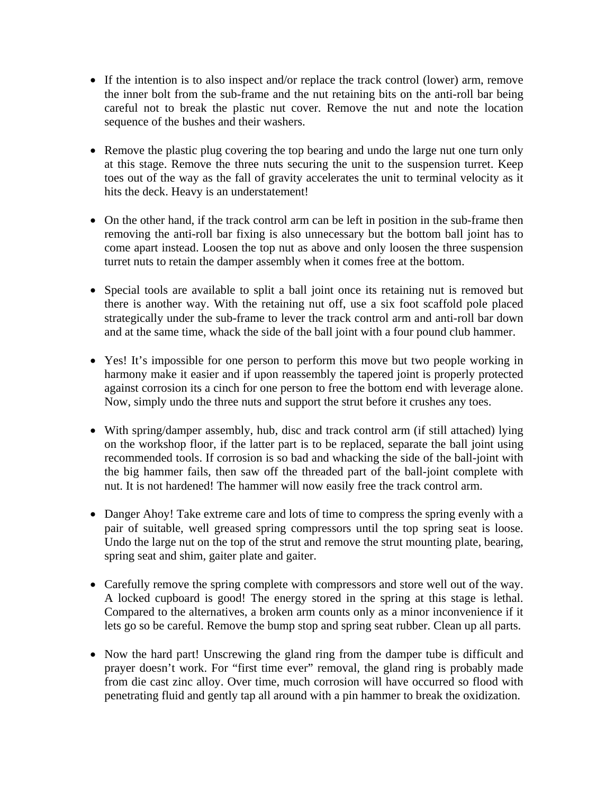- If the intention is to also inspect and/or replace the track control (lower) arm, remove the inner bolt from the sub-frame and the nut retaining bits on the anti-roll bar being careful not to break the plastic nut cover. Remove the nut and note the location sequence of the bushes and their washers.
- Remove the plastic plug covering the top bearing and undo the large nut one turn only at this stage. Remove the three nuts securing the unit to the suspension turret. Keep toes out of the way as the fall of gravity accelerates the unit to terminal velocity as it hits the deck. Heavy is an understatement!
- On the other hand, if the track control arm can be left in position in the sub-frame then removing the anti-roll bar fixing is also unnecessary but the bottom ball joint has to come apart instead. Loosen the top nut as above and only loosen the three suspension turret nuts to retain the damper assembly when it comes free at the bottom.
- Special tools are available to split a ball joint once its retaining nut is removed but there is another way. With the retaining nut off, use a six foot scaffold pole placed strategically under the sub-frame to lever the track control arm and anti-roll bar down and at the same time, whack the side of the ball joint with a four pound club hammer.
- Yes! It's impossible for one person to perform this move but two people working in harmony make it easier and if upon reassembly the tapered joint is properly protected against corrosion its a cinch for one person to free the bottom end with leverage alone. Now, simply undo the three nuts and support the strut before it crushes any toes.
- With spring/damper assembly, hub, disc and track control arm (if still attached) lying on the workshop floor, if the latter part is to be replaced, separate the ball joint using recommended tools. If corrosion is so bad and whacking the side of the ball-joint with the big hammer fails, then saw off the threaded part of the ball-joint complete with nut. It is not hardened! The hammer will now easily free the track control arm.
- Danger Ahoy! Take extreme care and lots of time to compress the spring evenly with a pair of suitable, well greased spring compressors until the top spring seat is loose. Undo the large nut on the top of the strut and remove the strut mounting plate, bearing, spring seat and shim, gaiter plate and gaiter.
- Carefully remove the spring complete with compressors and store well out of the way. A locked cupboard is good! The energy stored in the spring at this stage is lethal. Compared to the alternatives, a broken arm counts only as a minor inconvenience if it lets go so be careful. Remove the bump stop and spring seat rubber. Clean up all parts.
- Now the hard part! Unscrewing the gland ring from the damper tube is difficult and prayer doesn't work. For "first time ever" removal, the gland ring is probably made from die cast zinc alloy. Over time, much corrosion will have occurred so flood with penetrating fluid and gently tap all around with a pin hammer to break the oxidization.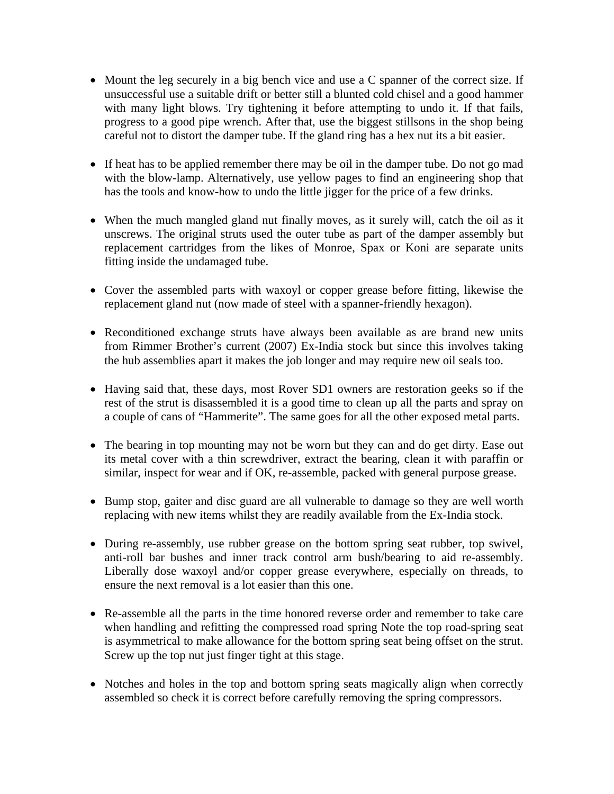- Mount the leg securely in a big bench vice and use a C spanner of the correct size. If unsuccessful use a suitable drift or better still a blunted cold chisel and a good hammer with many light blows. Try tightening it before attempting to undo it. If that fails, progress to a good pipe wrench. After that, use the biggest stillsons in the shop being careful not to distort the damper tube. If the gland ring has a hex nut its a bit easier.
- If heat has to be applied remember there may be oil in the damper tube. Do not go mad with the blow-lamp. Alternatively, use yellow pages to find an engineering shop that has the tools and know-how to undo the little jigger for the price of a few drinks.
- When the much mangled gland nut finally moves, as it surely will, catch the oil as it unscrews. The original struts used the outer tube as part of the damper assembly but replacement cartridges from the likes of Monroe, Spax or Koni are separate units fitting inside the undamaged tube.
- Cover the assembled parts with waxoyl or copper grease before fitting, likewise the replacement gland nut (now made of steel with a spanner-friendly hexagon).
- Reconditioned exchange struts have always been available as are brand new units from Rimmer Brother's current (2007) Ex-India stock but since this involves taking the hub assemblies apart it makes the job longer and may require new oil seals too.
- Having said that, these days, most Rover SD1 owners are restoration geeks so if the rest of the strut is disassembled it is a good time to clean up all the parts and spray on a couple of cans of "Hammerite". The same goes for all the other exposed metal parts.
- The bearing in top mounting may not be worn but they can and do get dirty. Ease out its metal cover with a thin screwdriver, extract the bearing, clean it with paraffin or similar, inspect for wear and if OK, re-assemble, packed with general purpose grease.
- Bump stop, gaiter and disc guard are all vulnerable to damage so they are well worth replacing with new items whilst they are readily available from the Ex-India stock.
- During re-assembly, use rubber grease on the bottom spring seat rubber, top swivel, anti-roll bar bushes and inner track control arm bush/bearing to aid re-assembly. Liberally dose waxoyl and/or copper grease everywhere, especially on threads, to ensure the next removal is a lot easier than this one.
- Re-assemble all the parts in the time honored reverse order and remember to take care when handling and refitting the compressed road spring Note the top road-spring seat is asymmetrical to make allowance for the bottom spring seat being offset on the strut. Screw up the top nut just finger tight at this stage.
- Notches and holes in the top and bottom spring seats magically align when correctly assembled so check it is correct before carefully removing the spring compressors.